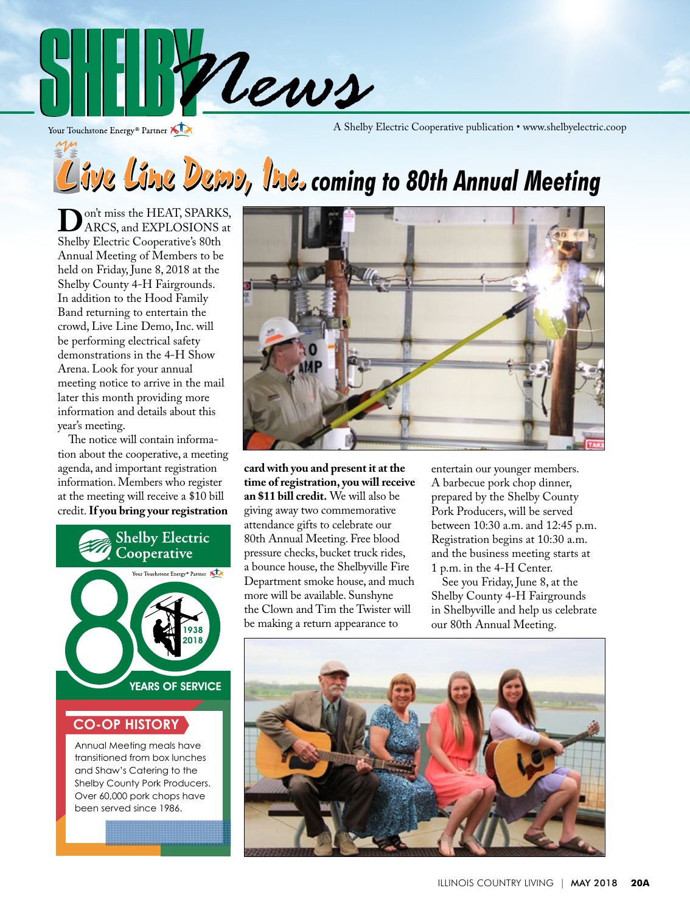

Your Touchstone Energy® Partner

A Shelby Electric Cooperative publication • www.shelbyelectric.coop

# *Cive Line Dema, Ine.* **coming to 80th Annual Meeting**

**D**on't miss the HEAT, SPARKS,<br>ARCS, and EXPLOSIONS at<br>Shelby Electric Cooperative's 80th Shelby Electric Cooperative's 80th Annual Meeting of Members to be held on Friday, June 8, 2018 at the Shelby County 4-H Fairgrounds. In addition to the Hood Family Band returning to entertain the crowd, Live Line Demo, Inc. will be performing electrical safety demonstrations in the 4-H Show Arena. Look for your annual meeting notice to arrive in the mail later this month providing more information and details about this year's meeting.

 The notice will contain information about the cooperative, a meeting agenda, and important registration information. Members who register at the meeting will receive a \$10 bill credit. **If you bring your registration** 



#### **CO-OP HISTORY**

Annual Meeting meals have transitioned from box lunches and Shaw's Catering to the Shelby County Pork Producers. Over 60,000 pork chops have been served since 1986.



**card with you and present it at the time of registration, you will receive an \$11 bill credit.** We will also be giving away two commemorative attendance gifts to celebrate our 80th Annual Meeting. Free blood pressure checks, bucket truck rides, a bounce house, the Shelbyville Fire Department smoke house, and much more will be available. Sunshyne the Clown and Tim the Twister will be making a return appearance to

entertain our younger members. A barbecue pork chop dinner, prepared by the Shelby County Pork Producers, will be served between 10:30 a.m. and 12:45 p.m. Registration begins at 10:30 a.m. and the business meeting starts at 1 p.m. in the 4-H Center.

 See you Friday, June 8, at the Shelby County 4-H Fairgrounds in Shelbyville and help us celebrate our 80th Annual Meeting.

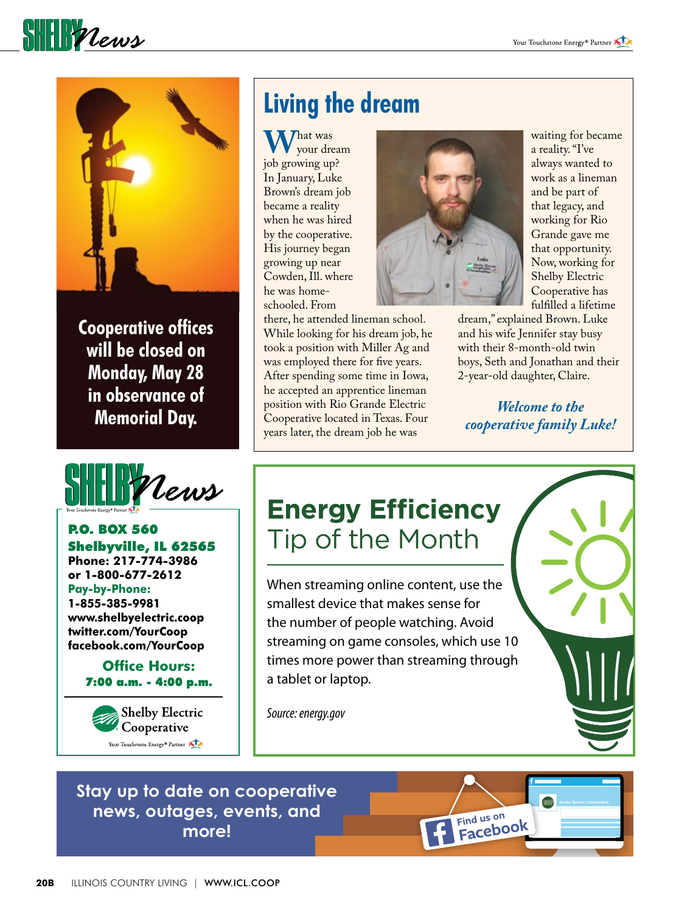**SHELL** *Vews* 



**Cooperative offices will be closed on Monday, May 28 in observance of Memorial Day.**



#### P.O. BOX 560 Shelbyville, IL 62565

**Phone: 217-774-3986 or 1-800-677-2612 Pay-by-Phone: 1-855-385-9981 www.shelbyelectric.coop twitter.com/YourCoop facebook.com/YourCoop**

> **Office Hours:** 7:00 a.m. - 4:00 p.m.



## **Living the dream**

What was<br>job growing up? your dream In January, Luke Brown's dream job became a reality when he was hired by the cooperative. His journey began growing up near Cowden, Ill. where he was homeschooled. From

there, he attended lineman school. While looking for his dream job, he took a position with Miller Ag and was employed there for five years. After spending some time in Iowa, he accepted an apprentice lineman position with Rio Grande Electric Cooperative located in Texas. Four years later, the dream job he was



waiting for became a reality. "I've always wanted to work as a lineman and be part of that legacy, and working for Rio Grande gave me that opportunity. Now, working for Shelby Electric Cooperative has fulfilled a lifetime

dream," explained Brown. Luke and his wife Jennifer stay busy with their 8-month-old twin boys, Seth and Jonathan and their 2-year-old daughter, Claire.

*Welcome to the cooperative family Luke!*

Find us on

### **Energy Efficiency** Tip of the Month

When streaming online content, use the smallest device that makes sense for the number of people watching. Avoid streaming on game consoles, which use 10 times more power than streaming through a tablet or laptop.

*Source: energy.gov*

#### **Stay up to date on cooperative news, outages, events, and more!**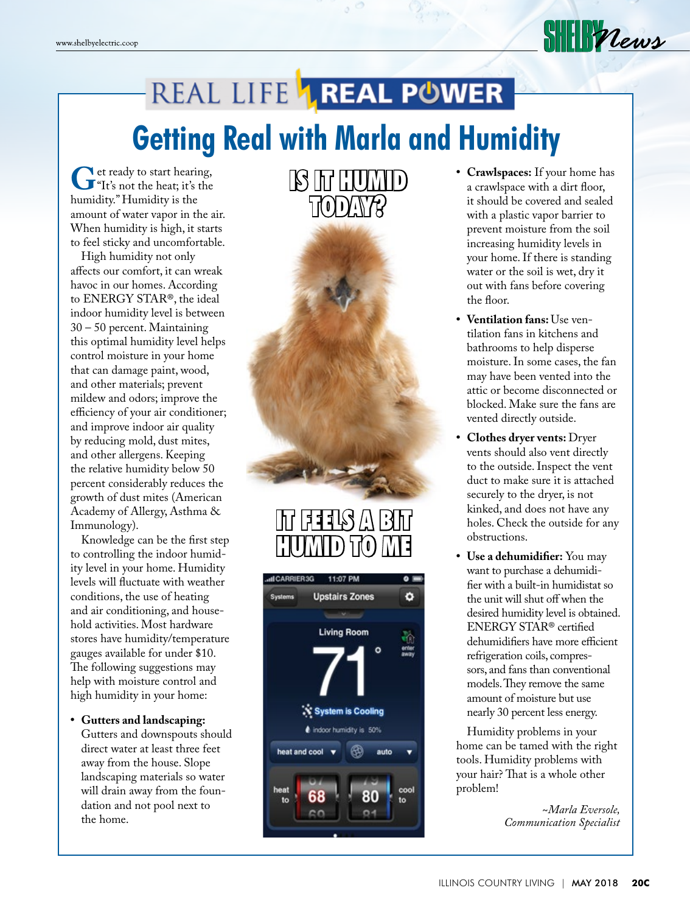## REAL LIFE **1 REAL POWER Getting Real with Marla and Humidity**

**G**et ready to start hearing,<br>
"It's not the heat; it's the<br>
humidity" Humidity is the humidity." Humidity is the amount of water vapor in the air. When humidity is high, it starts to feel sticky and uncomfortable.

 High humidity not only affects our comfort, it can wreak havoc in our homes. According to ENERGY STAR®, the ideal indoor humidity level is between 30 – 50 percent. Maintaining this optimal humidity level helps control moisture in your home that can damage paint, wood, and other materials; prevent mildew and odors; improve the efficiency of your air conditioner; and improve indoor air quality by reducing mold, dust mites, and other allergens. Keeping the relative humidity below 50 percent considerably reduces the growth of dust mites (American Academy of Allergy, Asthma & Immunology).

 Knowledge can be the first step to controlling the indoor humidity level in your home. Humidity levels will fluctuate with weather conditions, the use of heating and air conditioning, and household activities. Most hardware stores have humidity/temperature gauges available for under \$10. The following suggestions may help with moisture control and high humidity in your home:

**• Gutters and landscaping:**  Gutters and downspouts should direct water at least three feet away from the house. Slope landscaping materials so water will drain away from the foundation and not pool next to the home.



### $\frac{1}{2}$  $\frac{1}{2}$  $\bigcap \mathcal{h}(0)$



**• Crawlspaces:** If your home has a crawlspace with a dirt floor, it should be covered and sealed with a plastic vapor barrier to prevent moisture from the soil increasing humidity levels in your home. If there is standing water or the soil is wet, dry it out with fans before covering the floor.

**SHEIR Vews** 

- **• Ventilation fans:** Use ventilation fans in kitchens and bathrooms to help disperse moisture. In some cases, the fan may have been vented into the attic or become disconnected or blocked. Make sure the fans are vented directly outside.
- **• Clothes dryer vents:** Dryer vents should also vent directly to the outside. Inspect the vent duct to make sure it is attached securely to the dryer, is not kinked, and does not have any holes. Check the outside for any obstructions.
- **• Use a dehumidifier:** You may want to purchase a dehumidifier with a built-in humidistat so the unit will shut off when the desired humidity level is obtained. ENERGY STAR® certified dehumidifiers have more efficient refrigeration coils, compressors, and fans than conventional models. They remove the same amount of moisture but use nearly 30 percent less energy.

 Humidity problems in your home can be tamed with the right tools. Humidity problems with your hair? That is a whole other problem!

> *~Marla Eversole, Communication Specialist*